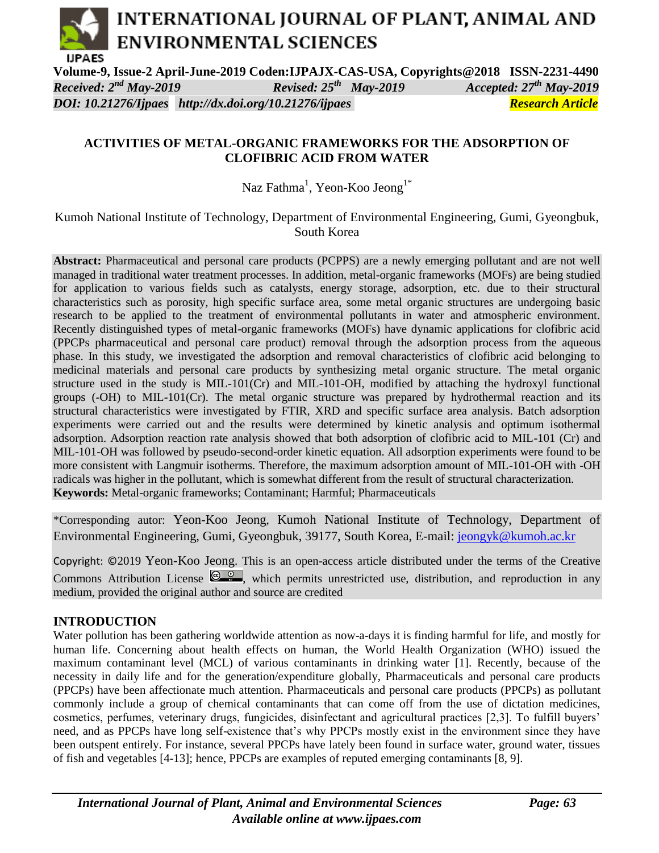## INTERNATIONAL JOURNAL OF PLANT, ANIMAL AND **ENVIRONMENTAL SCIENCES IJPAES**

**Volume-9, Issue-2 April-June-2019 Coden:IJPAJX-CAS-USA, Copyrights@2018 ISSN-2231-4490**  *Received:*  $2^{nd}$  *May-2019 May-2019 Accepted: 27 th May-2019 DOI: 10.21276/Ijpaes <http://dx.doi.org/10.21276/ijpaes> Research Article*

### **ACTIVITIES OF METAL-ORGANIC FRAMEWORKS FOR THE ADSORPTION OF CLOFIBRIC ACID FROM WATER**

Naz Fathma<sup>1</sup>, Yeon-Koo Jeong<sup>1\*</sup>

Kumoh National Institute of Technology, Department of Environmental Engineering, Gumi, Gyeongbuk, South Korea

**Abstract:** Pharmaceutical and personal care products (PCPPS) are a newly emerging pollutant and are not well managed in traditional water treatment processes. In addition, metal-organic frameworks (MOFs) are being studied for application to various fields such as catalysts, energy storage, adsorption, etc. due to their structural characteristics such as porosity, high specific surface area, some metal organic structures are undergoing basic research to be applied to the treatment of environmental pollutants in water and atmospheric environment. Recently distinguished types of metal-organic frameworks (MOFs) have dynamic applications for clofibric acid (PPCPs pharmaceutical and personal care product) removal through the adsorption process from the aqueous phase. In this study, we investigated the adsorption and removal characteristics of clofibric acid belonging to medicinal materials and personal care products by synthesizing metal organic structure. The metal organic structure used in the study is MIL-101(Cr) and MIL-101-OH, modified by attaching the hydroxyl functional groups (-OH) to MIL-101(Cr). The metal organic structure was prepared by hydrothermal reaction and its structural characteristics were investigated by FTIR, XRD and specific surface area analysis. Batch adsorption experiments were carried out and the results were determined by kinetic analysis and optimum isothermal adsorption. Adsorption reaction rate analysis showed that both adsorption of clofibric acid to MIL-101 (Cr) and MIL-101-OH was followed by pseudo-second-order kinetic equation. All adsorption experiments were found to be more consistent with Langmuir isotherms. Therefore, the maximum adsorption amount of MIL-101-OH with -OH radicals was higher in the pollutant, which is somewhat different from the result of structural characterization. **Keywords:** Metal-organic frameworks; Contaminant; Harmful; Pharmaceuticals

\*Corresponding autor: Yeon-Koo Jeong, Kumoh National Institute of Technology, Department of Environmental Engineering, Gumi, Gyeongbuk, 39177, South Korea, E-mail: [jeongyk@kumoh.ac.kr](mailto:jeongyk@kumoh.ac.kr)

Copyright: ©2019 Yeon-Koo Jeong. This is an open-access article distributed under the terms of the Creative Commons Attribution License  $\left( \frac{\circledcirc}{\circledcirc} \right)$ , which permits unrestricted use, distribution, and reproduction in any medium, provided the original author and source are credited

### **INTRODUCTION**

Water pollution has been gathering worldwide attention as now-a-days it is finding harmful for life, and mostly for human life. Concerning about health effects on human, the World Health Organization (WHO) issued the maximum contaminant level (MCL) of various contaminants in drinking water [1]. Recently, because of the necessity in daily life and for the generation/expenditure globally, Pharmaceuticals and personal care products (PPCPs) have been affectionate much attention. Pharmaceuticals and personal care products (PPCPs) as pollutant commonly include a group of chemical contaminants that can come off from the use of dictation medicines, cosmetics, perfumes, veterinary drugs, fungicides, disinfectant and agricultural practices [2,3]. To fulfill buyers' need, and as PPCPs have long self-existence that's why PPCPs mostly exist in the environment since they have been outspent entirely. For instance, several PPCPs have lately been found in surface water, ground water, tissues of fish and vegetables [4-13]; hence, PPCPs are examples of reputed emerging contaminants [8, 9].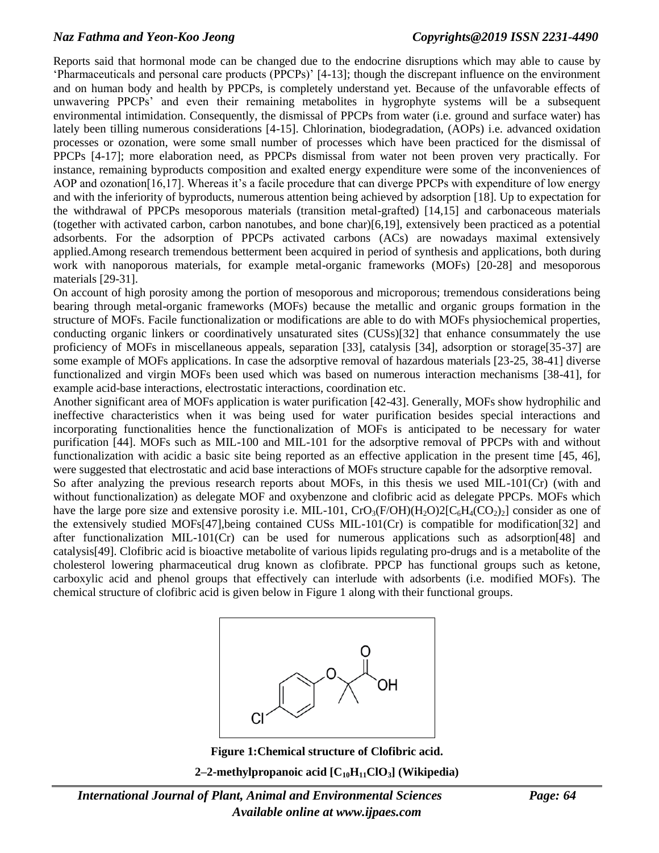Reports said that hormonal mode can be changed due to the endocrine disruptions which may able to cause by 'Pharmaceuticals and personal care products (PPCPs)' [4-13]; though the discrepant influence on the environment and on human body and health by PPCPs, is completely understand yet. Because of the unfavorable effects of unwavering PPCPs' and even their remaining metabolites in hygrophyte systems will be a subsequent environmental intimidation. Consequently, the dismissal of PPCPs from water (i.e. ground and surface water) has lately been tilling numerous considerations [4-15]. Chlorination, biodegradation, (AOPs) i.e. advanced oxidation processes or ozonation, were some small number of processes which have been practiced for the dismissal of PPCPs [4-17]; more elaboration need, as PPCPs dismissal from water not been proven very practically. For instance, remaining byproducts composition and exalted energy expenditure were some of the inconveniences of AOP and ozonation[16,17]. Whereas it's a facile procedure that can diverge PPCPs with expenditure of low energy and with the inferiority of byproducts, numerous attention being achieved by adsorption [18]. Up to expectation for the withdrawal of PPCPs mesoporous materials (transition metal-grafted) [14,15] and carbonaceous materials (together with activated carbon, carbon nanotubes, and bone char)[6,19], extensively been practiced as a potential adsorbents. For the adsorption of PPCPs activated carbons (ACs) are nowadays maximal extensively applied.Among research tremendous betterment been acquired in period of synthesis and applications, both during work with nanoporous materials, for example metal-organic frameworks (MOFs) [20-28] and mesoporous materials [29-31].

On account of high porosity among the portion of mesoporous and microporous; tremendous considerations being bearing through metal-organic frameworks (MOFs) because the metallic and organic groups formation in the structure of MOFs. Facile functionalization or modifications are able to do with MOFs physiochemical properties, conducting organic linkers or coordinatively unsaturated sites (CUSs)[32] that enhance consummately the use proficiency of MOFs in miscellaneous appeals, separation [33], catalysis [34], adsorption or storage[35-37] are some example of MOFs applications. In case the adsorptive removal of hazardous materials [23-25, 38-41] diverse functionalized and virgin MOFs been used which was based on numerous interaction mechanisms [38-41], for example acid-base interactions, electrostatic interactions, coordination etc.

Another significant area of MOFs application is water purification [42-43]. Generally, MOFs show hydrophilic and ineffective characteristics when it was being used for water purification besides special interactions and incorporating functionalities hence the functionalization of MOFs is anticipated to be necessary for water purification [44]. MOFs such as MIL-100 and MIL-101 for the adsorptive removal of PPCPs with and without functionalization with acidic a basic site being reported as an effective application in the present time [45, 46], were suggested that electrostatic and acid base interactions of MOFs structure capable for the adsorptive removal.

So after analyzing the previous research reports about MOFs, in this thesis we used MIL-101(Cr) (with and without functionalization) as delegate MOF and oxybenzone and clofibric acid as delegate PPCPs. MOFs which have the large pore size and extensive porosity i.e. MIL-101,  $CrO<sub>3</sub>(F/OH)(H<sub>2</sub>O)2[C<sub>6</sub>H<sub>4</sub>(CO<sub>2</sub>)<sub>2</sub>]$  consider as one of the extensively studied MOFs[47],being contained CUSs MIL-101(Cr) is compatible for modification[32] and after functionalization MIL-101(Cr) can be used for numerous applications such as adsorption[48] and catalysis[49]. Clofibric acid is bioactive metabolite of various lipids regulating pro-drugs and is a metabolite of the cholesterol lowering pharmaceutical drug known as clofibrate. PPCP has functional groups such as ketone, carboxylic acid and phenol groups that effectively can interlude with adsorbents (i.e. modified MOFs). The chemical structure of clofibric acid is given below in Figure 1 along with their functional groups.



**Figure 1:Chemical structure of Clofibric acid. 2–2-methylpropanoic acid [C10H11ClO3] (Wikipedia)**

*International Journal of Plant, Animal and Environmental Sciences Page: 64 Available online at [www.ijpaes.com](http://www.ijpaes.com/)*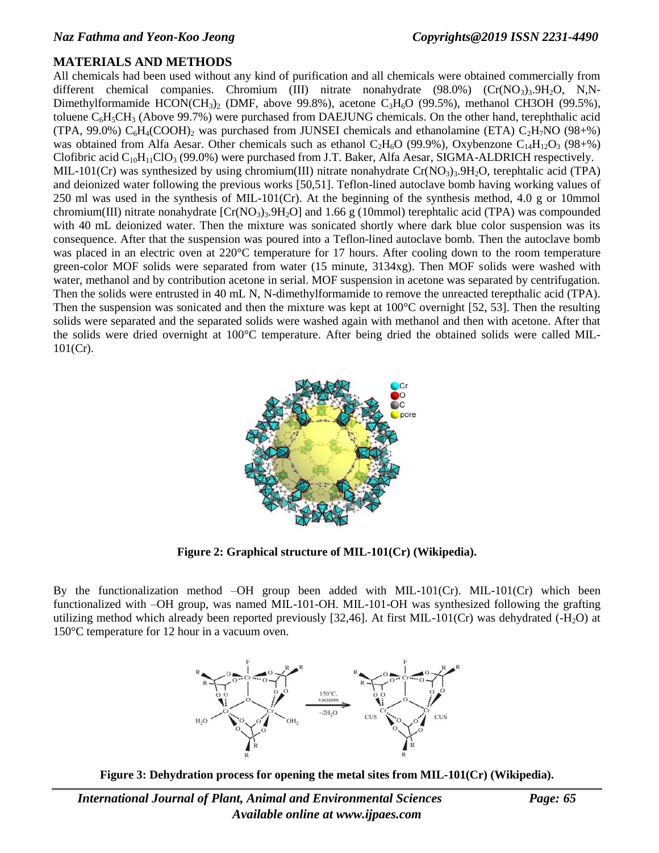### **MATERIALS AND METHODS**

All chemicals had been used without any kind of purification and all chemicals were obtained commercially from different chemical companies. Chromium (III) nitrate nonahydrate  $(98.0\%)$   $(Cr(NO_3)_3.9H_2O, N,N-1)$ Dimethylformamide HCON(CH<sub>3</sub>)<sub>2</sub> (DMF, above 99.8%), acetone C<sub>3</sub>H<sub>6</sub>O (99.5%), methanol CH3OH (99.5%), toluene  $C_6H_5CH_3$  (Above 99.7%) were purchased from DAEJUNG chemicals. On the other hand, terephthalic acid (TPA, 99.0%)  $C_6H_4(COOH)_2$  was purchased from JUNSEI chemicals and ethanolamine (ETA)  $C_2H_7NO$  (98+%) was obtained from Alfa Aesar. Other chemicals such as ethanol  $C_2H_6O$  (99.9%), Oxybenzone  $C_{14}H_{12}O_3$  (98+%) Clofibric acid  $C_{10}H_{11}ClO_3$  (99.0%) were purchased from J.T. Baker, Alfa Aesar, SIGMA-ALDRICH respectively. MIL-101(Cr) was synthesized by using chromium(III) nitrate nonahydrate Cr(NO<sub>3</sub>)<sub>3</sub>.9H<sub>2</sub>O, terephtalic acid (TPA) and deionized water following the previous works [50,51]. Teflon-lined autoclave bomb having working values of 250 ml was used in the synthesis of MIL-101(Cr). At the beginning of the synthesis method, 4.0 g or 10mmol chromium(III) nitrate nonahydrate  $[Cr(NO<sub>3</sub>)<sub>3</sub>$ .9H<sub>2</sub>O] and 1.66 g (10mmol) terephtalic acid (TPA) was compounded with 40 mL deionized water. Then the mixture was sonicated shortly where dark blue color suspension was its consequence. After that the suspension was poured into a Teflon-lined autoclave bomb. Then the autoclave bomb was placed in an electric oven at 220°C temperature for 17 hours. After cooling down to the room temperature green-color MOF solids were separated from water (15 minute, 3134xg). Then MOF solids were washed with water, methanol and by contribution acetone in serial. MOF suspension in acetone was separated by centrifugation. Then the solids were entrusted in 40 mL N, N-dimethylformamide to remove the unreacted terepthalic acid (TPA). Then the suspension was sonicated and then the mixture was kept at 100°C overnight [52, 53]. Then the resulting solids were separated and the separated solids were washed again with methanol and then with acetone. After that the solids were dried overnight at 100°C temperature. After being dried the obtained solids were called MIL-101(Cr).



**Figure 2: Graphical structure of MIL-101(Cr) (Wikipedia).**

By the functionalization method –OH group been added with MIL-101(Cr). MIL-101(Cr) which been functionalized with –OH group, was named MIL-101-OH. MIL-101-OH was synthesized following the grafting utilizing method which already been reported previously [32,46]. At first MIL-101(Cr) was dehydrated  $(-H<sub>2</sub>O)$  at 150°C temperature for 12 hour in a vacuum oven.



**Figure 3: Dehydration process for opening the metal sites from MIL-101(Cr) (Wikipedia).**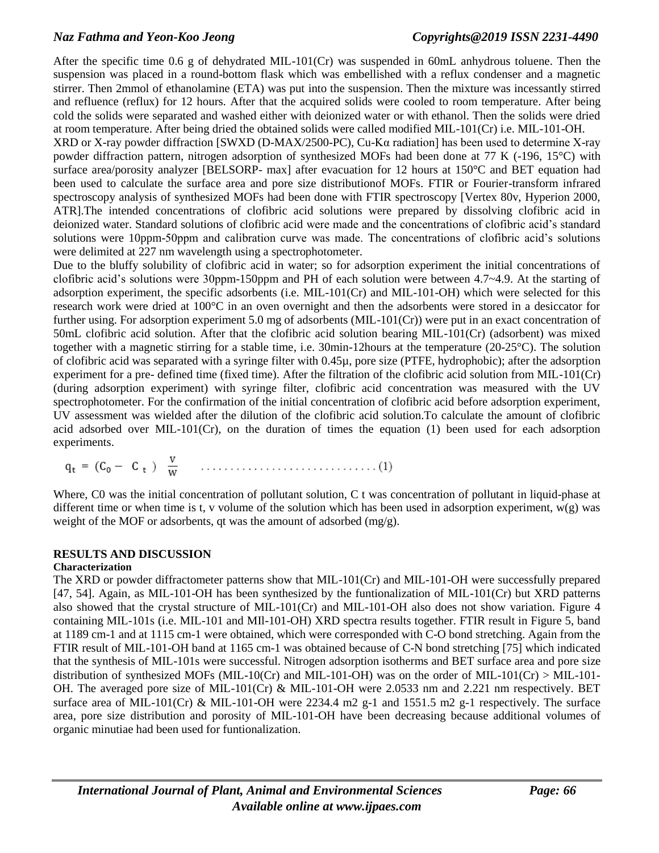### *Naz Fathma and Yeon-Koo Jeong [Copyrights@2019](mailto:Copyrights@2015) ISSN 2231-4490*

After the specific time 0.6 g of dehydrated MIL-101(Cr) was suspended in 60mL anhydrous toluene. Then the suspension was placed in a round-bottom flask which was embellished with a reflux condenser and a magnetic stirrer. Then 2mmol of ethanolamine (ETA) was put into the suspension. Then the mixture was incessantly stirred and refluence (reflux) for 12 hours. After that the acquired solids were cooled to room temperature. After being cold the solids were separated and washed either with deionized water or with ethanol. Then the solids were dried at room temperature. After being dried the obtained solids were called modified MIL-101(Cr) i.e. MIL-101-OH.

XRD or X-ray powder diffraction [SWXD (D-MAX/2500-PC), Cu-Kα radiation] has been used to determine X-ray powder diffraction pattern, nitrogen adsorption of synthesized MOFs had been done at 77 K (-196, 15°C) with surface area/porosity analyzer [BELSORP- max] after evacuation for 12 hours at 150°C and BET equation had been used to calculate the surface area and pore size distributionof MOFs. FTIR or Fourier-transform infrared spectroscopy analysis of synthesized MOFs had been done with FTIR spectroscopy [Vertex 80v, Hyperion 2000, ATR].The intended concentrations of clofibric acid solutions were prepared by dissolving clofibric acid in deionized water. Standard solutions of clofibric acid were made and the concentrations of clofibric acid's standard solutions were 10ppm-50ppm and calibration curve was made. The concentrations of clofibric acid's solutions were delimited at 227 nm wavelength using a spectrophotometer.

Due to the bluffy solubility of clofibric acid in water; so for adsorption experiment the initial concentrations of clofibric acid's solutions were 30ppm-150ppm and PH of each solution were between 4.7~4.9. At the starting of adsorption experiment, the specific adsorbents (i.e. MIL-101(Cr) and MIL-101-OH) which were selected for this research work were dried at 100°C in an oven overnight and then the adsorbents were stored in a desiccator for further using. For adsorption experiment 5.0 mg of adsorbents (MIL-101(Cr)) were put in an exact concentration of 50mL clofibric acid solution. After that the clofibric acid solution bearing MIL-101(Cr) (adsorbent) was mixed together with a magnetic stirring for a stable time, i.e. 30min-12hours at the temperature (20-25°C). The solution of clofibric acid was separated with a syringe filter with 0.45µ, pore size (PTFE, hydrophobic); after the adsorption experiment for a pre- defined time (fixed time). After the filtration of the clofibric acid solution from MIL-101(Cr) (during adsorption experiment) with syringe filter, clofibric acid concentration was measured with the UV spectrophotometer. For the confirmation of the initial concentration of clofibric acid before adsorption experiment, UV assessment was wielded after the dilution of the clofibric acid solution.To calculate the amount of clofibric acid adsorbed over MIL-101(Cr), on the duration of times the equation (1) been used for each adsorption experiments.

Where, C0 was the initial concentration of pollutant solution, C t was concentration of pollutant in liquid-phase at different time or when time is t, v volume of the solution which has been used in adsorption experiment,  $w(g)$  was weight of the MOF or adsorbents, qt was the amount of adsorbed (mg/g).

### **RESULTS AND DISCUSSION**

### **Characterization**

The XRD or powder diffractometer patterns show that MIL-101(Cr) and MIL-101-OH were successfully prepared [47, 54]. Again, as MIL-101-OH has been synthesized by the funtionalization of MIL-101(Cr) but XRD patterns also showed that the crystal structure of MIL-101(Cr) and MIL-101-OH also does not show variation. Figure 4 containing MIL-101s (i.e. MIL-101 and MIl-101-OH) XRD spectra results together. FTIR result in Figure 5, band at 1189 cm-1 and at 1115 cm-1 were obtained, which were corresponded with C-O bond stretching. Again from the FTIR result of MIL-101-OH band at 1165 cm-1 was obtained because of C-N bond stretching [75] which indicated that the synthesis of MIL-101s were successful. Nitrogen adsorption isotherms and BET surface area and pore size distribution of synthesized MOFs (MIL-10(Cr) and MIL-101-OH) was on the order of MIL-101(Cr) > MIL-101-OH. The averaged pore size of MIL-101(Cr) & MIL-101-OH were 2.0533 nm and 2.221 nm respectively. BET surface area of MIL-101(Cr) & MIL-101-OH were 2234.4 m2 g-1 and 1551.5 m2 g-1 respectively. The surface area, pore size distribution and porosity of MIL-101-OH have been decreasing because additional volumes of organic minutiae had been used for funtionalization.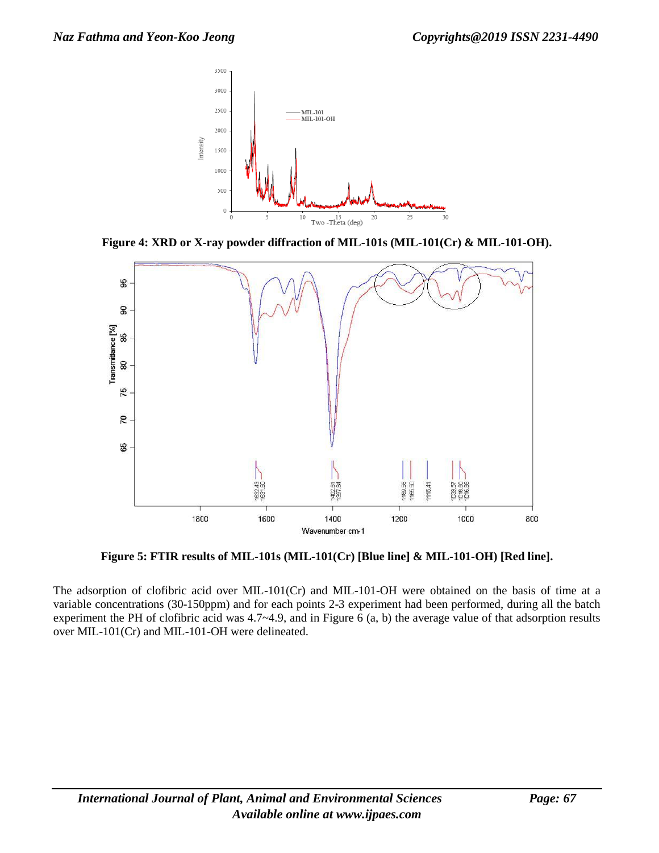

**Figure 4: XRD or X-ray powder diffraction of MIL-101s (MIL-101(Cr) & MIL-101-OH).**



**Figure 5: FTIR results of MIL-101s (MIL-101(Cr) [Blue line] & MIL-101-OH) [Red line].**

The adsorption of clofibric acid over MIL-101(Cr) and MIL-101-OH were obtained on the basis of time at a variable concentrations (30-150ppm) and for each points 2-3 experiment had been performed, during all the batch experiment the PH of clofibric acid was 4.7~4.9, and in Figure 6 (a, b) the average value of that adsorption results over MIL-101(Cr) and MIL-101-OH were delineated.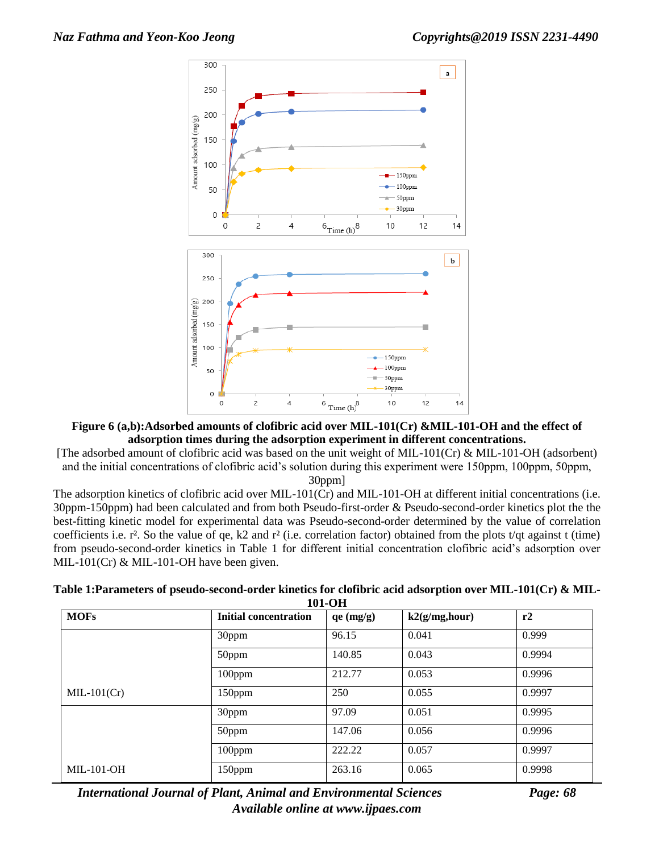



[The adsorbed amount of clofibric acid was based on the unit weight of MIL-101(Cr) & MIL-101-OH (adsorbent) and the initial concentrations of clofibric acid's solution during this experiment were 150ppm, 100ppm, 50ppm, 30ppm]

The adsorption kinetics of clofibric acid over MIL-101(Cr) and MIL-101-OH at different initial concentrations (i.e. 30ppm-150ppm) had been calculated and from both Pseudo-first-order & Pseudo-second-order kinetics plot the the best-fitting kinetic model for experimental data was Pseudo-second-order determined by the value of correlation coefficients i.e.  $r^2$ . So the value of qe, k2 and  $r^2$  (i.e. correlation factor) obtained from the plots t/qt against t (time) from pseudo-second-order kinetics in Table 1 for different initial concentration clofibric acid's adsorption over MIL-101(Cr)  $&$  MIL-101-OH have been given.

| Table 1:Parameters of pseudo-second-order kinetics for clofibric acid adsorption over MIL-101(Cr) & MIL- |  |
|----------------------------------------------------------------------------------------------------------|--|
| 101-OH                                                                                                   |  |

| <b>MOFs</b>   | Initial concentration | qe (mg/g) | k2(g/mg, hour) | r2     |
|---------------|-----------------------|-----------|----------------|--------|
|               | 30ppm                 | 96.15     | 0.041          | 0.999  |
|               | 50ppm                 | 140.85    | 0.043          | 0.9994 |
|               | $100$ ppm             | 212.77    | 0.053          | 0.9996 |
| $MIL-101(Cr)$ | 150ppm                | 250       | 0.055          | 0.9997 |
|               | 30ppm                 | 97.09     | 0.051          | 0.9995 |
|               | 50ppm                 | 147.06    | 0.056          | 0.9996 |
|               | $100$ ppm             | 222.22    | 0.057          | 0.9997 |
| $MIL-101-OH$  | 150ppm                | 263.16    | 0.065          | 0.9998 |

*International Journal of Plant, Animal and Environmental Sciences Page: 68 Available online at [www.ijpaes.com](http://www.ijpaes.com/)*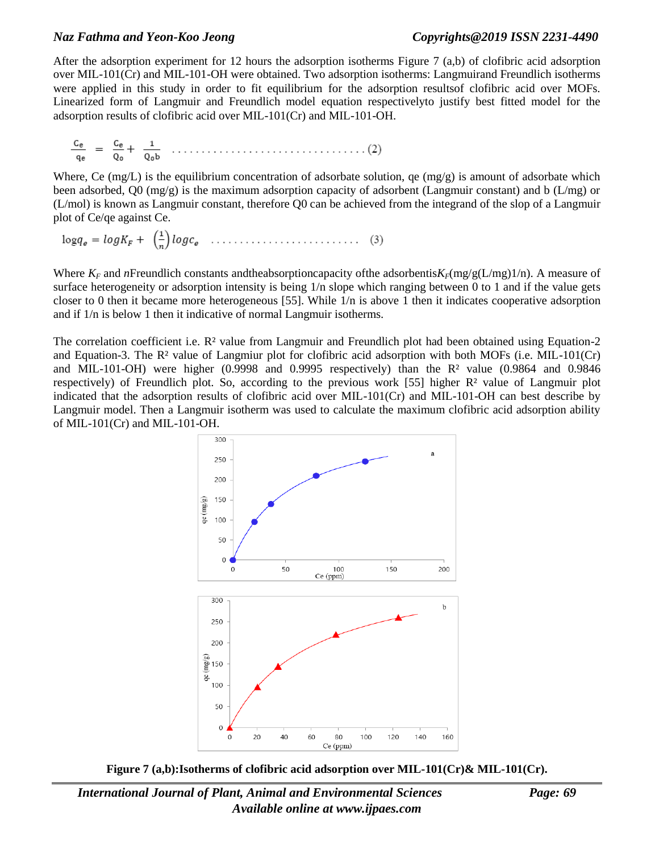### *Naz Fathma and Yeon-Koo Jeong [Copyrights@2019](mailto:Copyrights@2015) ISSN 2231-4490*

After the adsorption experiment for 12 hours the adsorption isotherms Figure 7 (a,b) of clofibric acid adsorption over MIL-101(Cr) and MIL-101-OH were obtained. Two adsorption isotherms: Langmuirand Freundlich isotherms were applied in this study in order to fit equilibrium for the adsorption resultsof clofibric acid over MOFs. Linearized form of Langmuir and Freundlich model equation respectivelyto justify best fitted model for the adsorption results of clofibric acid over MIL-101(Cr) and MIL-101-OH.

$$
\frac{C_e}{q_e} = \frac{C_e}{Q_0} + \frac{1}{Q_0 b} \quad \dots \quad \dots \quad \dots \quad \dots \quad \dots \quad \dots \quad (2)
$$

Where, Ce  $(mg/L)$  is the equilibrium concentration of adsorbate solution, qe  $(mg/g)$  is amount of adsorbate which been adsorbed, Q0 (mg/g) is the maximum adsorption capacity of adsorbent (Langmuir constant) and b (L/mg) or (L/mol) is known as Langmuir constant, therefore Q0 can be achieved from the integrand of the slop of a Langmuir plot of Ce/qe against Ce.

$$
\log q_e = \log K_F + \left(\frac{1}{n}\right) \log c_e \quad \dots \dots \dots \dots \dots \dots \dots \dots \tag{3}
$$

Where  $K_F$  and *n*Freundlich constants and the absorptioncapacity of the adsorbentis $K_F$ (mg/g(L/mg)1/n). A measure of surface heterogeneity or adsorption intensity is being  $1/n$  slope which ranging between 0 to 1 and if the value gets closer to 0 then it became more heterogeneous [55]. While 1/n is above 1 then it indicates cooperative adsorption and if 1/n is below 1 then it indicative of normal Langmuir isotherms.

The correlation coefficient i.e. R<sup>2</sup> value from Langmuir and Freundlich plot had been obtained using Equation-2 and Equation-3. The R² value of Langmiur plot for clofibric acid adsorption with both MOFs (i.e. MIL-101(Cr) and MIL-101-OH) were higher  $(0.9998$  and  $0.9995$  respectively) than the  $\mathbb{R}^2$  value  $(0.9864$  and  $0.9846$ respectively) of Freundlich plot. So, according to the previous work [55] higher  $\mathbb{R}^2$  value of Langmuir plot indicated that the adsorption results of clofibric acid over MIL-101(Cr) and MIL-101-OH can best describe by Langmuir model. Then a Langmuir isotherm was used to calculate the maximum clofibric acid adsorption ability of MIL-101(Cr) and MIL-101-OH.



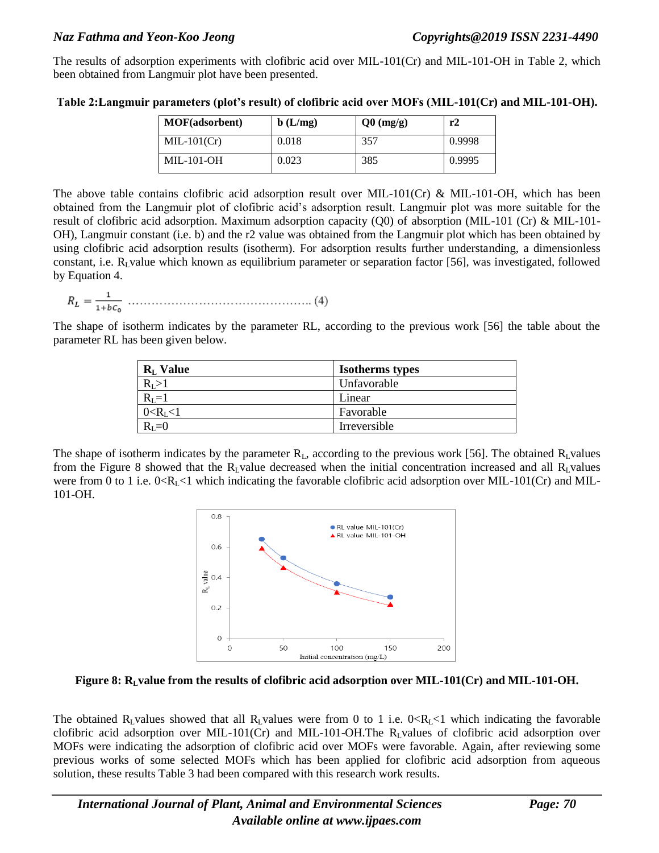The results of adsorption experiments with clofibric acid over MIL-101(Cr) and MIL-101-OH in Table 2, which been obtained from Langmuir plot have been presented.

| <b>MOF</b> (adsorbent) | b(L/mg) | $Q0 \text{ (mg/g)}$ | r2     |
|------------------------|---------|---------------------|--------|
| $MIL-101(Cr)$          | 0.018   | 357                 | 0.9998 |
| <b>MIL-101-OH</b>      | 0.023   | 385                 | 0.9995 |

**Table 2:Langmuir parameters (plot's result) of clofibric acid over MOFs (MIL-101(Cr) and MIL-101-OH).**

The above table contains clofibric acid adsorption result over MIL-101(Cr) & MIL-101-OH, which has been obtained from the Langmuir plot of clofibric acid's adsorption result. Langmuir plot was more suitable for the result of clofibric acid adsorption. Maximum adsorption capacity (Q0) of absorption (MIL-101 (Cr) & MIL-101- OH), Langmuir constant (i.e. b) and the r2 value was obtained from the Langmuir plot which has been obtained by using clofibric acid adsorption results (isotherm). For adsorption results further understanding, a dimensionless constant, i.e.  $R_L$ value which known as equilibrium parameter or separation factor [56], was investigated, followed by Equation 4.

$$
R_L = \frac{1}{1 + bc_0} \dots \dots \dots \dots \dots \dots \dots \dots \dots \dots \dots \dots \dots \dots \dots \tag{4}
$$

The shape of isotherm indicates by the parameter RL, according to the previous work [56] the table about the parameter RL has been given below.

| $R_L$ Value     | <b>Isotherms types</b> |
|-----------------|------------------------|
| $R_I > 1$       | Unfavorable            |
| $R_I=1$         | Linear                 |
| $0 < R_{I} < 1$ | Favorable              |
| $R_{I} = 0$     | Irreversible           |

The shape of isotherm indicates by the parameter  $R_L$ , according to the previous work [56]. The obtained  $R_L$ values from the Figure 8 showed that the  $R_L$ value decreased when the initial concentration increased and all  $R_L$ values were from 0 to 1 i.e.  $0 < R_L < 1$  which indicating the favorable clofibric acid adsorption over MIL-101(Cr) and MIL-101-OH.



**Figure 8: RLvalue from the results of clofibric acid adsorption over MIL-101(Cr) and MIL-101-OH.**

The obtained R<sub>L</sub>values showed that all R<sub>L</sub>values were from 0 to 1 i.e.  $0 < R<sub>L</sub>$  which indicating the favorable clofibric acid adsorption over MIL-101(Cr) and MIL-101-OH.The RLvalues of clofibric acid adsorption over MOFs were indicating the adsorption of clofibric acid over MOFs were favorable. Again, after reviewing some previous works of some selected MOFs which has been applied for clofibric acid adsorption from aqueous solution, these results Table 3 had been compared with this research work results.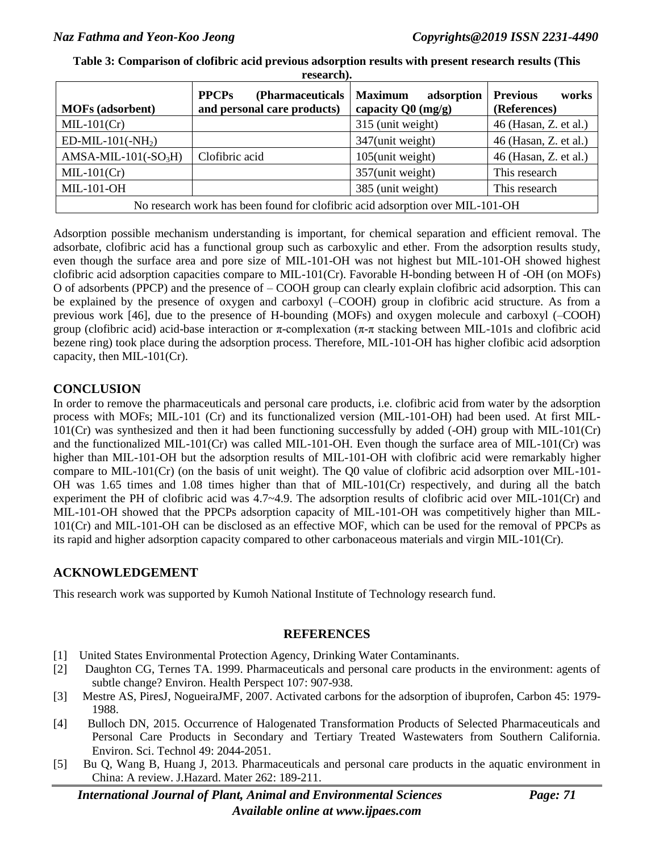| <b>MOFs</b> (adsorbent)                                                       | <b>PPCPs</b><br>(Pharmaceuticals)<br>and personal care products) | <b>Maximum</b><br>adsorption<br>capacity $Q0 \, (mg/g)$ | <b>Previous</b><br>works<br>(References) |
|-------------------------------------------------------------------------------|------------------------------------------------------------------|---------------------------------------------------------|------------------------------------------|
| $MIL-101(Cr)$                                                                 |                                                                  | 315 (unit weight)                                       | 46 (Hasan, Z. et al.)                    |
| $ED\text{-}MIL\text{-}101(\text{-}NH_2)$                                      |                                                                  | 347(unit weight)                                        | 46 (Hasan, Z. et al.)                    |
| $AMSA-MIL-101(-SO3H)$                                                         | Clofibric acid                                                   | 105(unit weight)                                        | 46 (Hasan, Z. et al.)                    |
| $MIL-101(Cr)$                                                                 |                                                                  | 357(unit weight)                                        | This research                            |
| <b>MIL-101-OH</b>                                                             |                                                                  | 385 (unit weight)                                       | This research                            |
| No research work has been found for clofibric acid adsorption over MIL-101-OH |                                                                  |                                                         |                                          |

**Table 3: Comparison of clofibric acid previous adsorption results with present research results (This research).**

Adsorption possible mechanism understanding is important, for chemical separation and efficient removal. The adsorbate, clofibric acid has a functional group such as carboxylic and ether. From the adsorption results study, even though the surface area and pore size of MIL-101-OH was not highest but MIL-101-OH showed highest clofibric acid adsorption capacities compare to MIL-101(Cr). Favorable H-bonding between H of -OH (on MOFs) O of adsorbents (PPCP) and the presence of – COOH group can clearly explain clofibric acid adsorption. This can be explained by the presence of oxygen and carboxyl (–COOH) group in clofibric acid structure. As from a previous work [46], due to the presence of H-bounding (MOFs) and oxygen molecule and carboxyl (–COOH) group (clofibric acid) acid-base interaction or π-complexation (π-π stacking between MIL-101s and clofibric acid bezene ring) took place during the adsorption process. Therefore, MIL-101-OH has higher clofibic acid adsorption capacity, then MIL-101(Cr).

### **CONCLUSION**

In order to remove the pharmaceuticals and personal care products, i.e. clofibric acid from water by the adsorption process with MOFs; MIL-101 (Cr) and its functionalized version (MIL-101-OH) had been used. At first MIL-101(Cr) was synthesized and then it had been functioning successfully by added (-OH) group with MIL-101(Cr) and the functionalized MIL-101(Cr) was called MIL-101-OH. Even though the surface area of MIL-101(Cr) was higher than MIL-101-OH but the adsorption results of MIL-101-OH with clofibric acid were remarkably higher compare to MIL-101(Cr) (on the basis of unit weight). The Q0 value of clofibric acid adsorption over MIL-101- OH was 1.65 times and 1.08 times higher than that of MIL-101(Cr) respectively, and during all the batch experiment the PH of clofibric acid was 4.7~4.9. The adsorption results of clofibric acid over MIL-101(Cr) and MIL-101-OH showed that the PPCPs adsorption capacity of MIL-101-OH was competitively higher than MIL-101(Cr) and MIL-101-OH can be disclosed as an effective MOF, which can be used for the removal of PPCPs as its rapid and higher adsorption capacity compared to other carbonaceous materials and virgin MIL-101(Cr).

### **ACKNOWLEDGEMENT**

This research work was supported by Kumoh National Institute of Technology research fund.

### **REFERENCES**

- [1] United States Environmental Protection Agency, Drinking Water Contaminants.
- [2] Daughton CG, Ternes TA. 1999. Pharmaceuticals and personal care products in the environment: agents of subtle change? Environ. Health Perspect 107: 907-938.
- [3] Mestre AS, PiresJ, NogueiraJMF, 2007. Activated carbons for the adsorption of ibuprofen, Carbon 45: 1979- 1988.
- [4] Bulloch DN, 2015. Occurrence of Halogenated Transformation Products of Selected Pharmaceuticals and Personal Care Products in Secondary and Tertiary Treated Wastewaters from Southern California. Environ. Sci. Technol 49: 2044-2051.
- [5] Bu Q, Wang B, Huang J, 2013. Pharmaceuticals and personal care products in the aquatic environment in China: A review. J.Hazard. Mater 262: 189-211.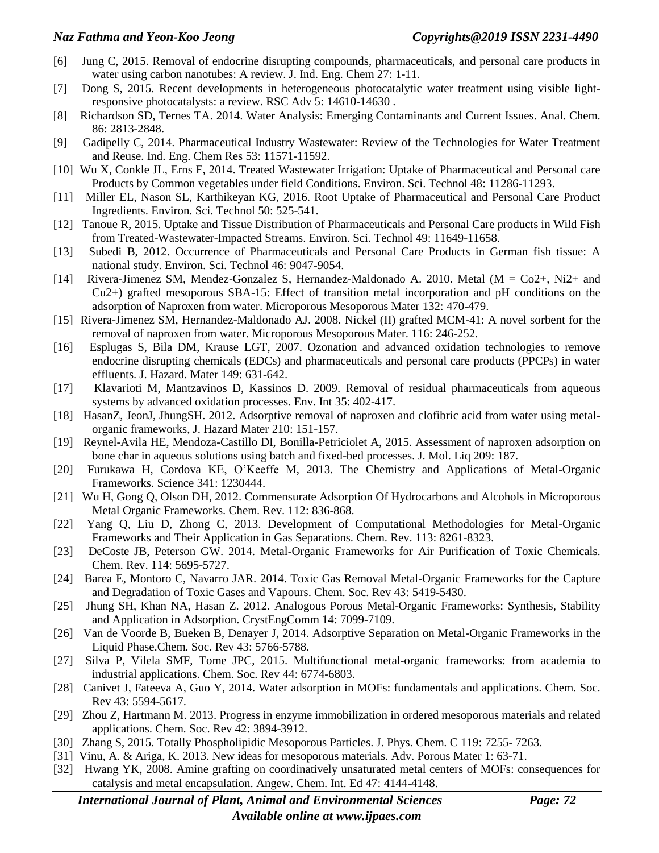- [6] Jung C, 2015. Removal of endocrine disrupting compounds, pharmaceuticals, and personal care products in water using carbon nanotubes: A review. J. Ind. Eng. Chem 27: 1-11.
- [7] Dong S, 2015. Recent developments in heterogeneous photocatalytic water treatment using visible lightresponsive photocatalysts: a review. RSC Adv 5: 14610-14630 .
- [8] Richardson SD, Ternes TA. 2014. Water Analysis: Emerging Contaminants and Current Issues. Anal. Chem. 86: 2813-2848.
- [9] Gadipelly C, 2014. Pharmaceutical Industry Wastewater: Review of the Technologies for Water Treatment and Reuse. Ind. Eng. Chem Res 53: 11571-11592.
- [10] Wu X, Conkle JL, Erns F, 2014. Treated Wastewater Irrigation: Uptake of Pharmaceutical and Personal care Products by Common vegetables under field Conditions. Environ. Sci. Technol 48: 11286-11293.
- [11] Miller EL, Nason SL, Karthikeyan KG, 2016. Root Uptake of Pharmaceutical and Personal Care Product Ingredients. Environ. Sci. Technol 50: 525-541.
- [12] Tanoue R, 2015. Uptake and Tissue Distribution of Pharmaceuticals and Personal Care products in Wild Fish from Treated-Wastewater-Impacted Streams. Environ. Sci. Technol 49: 11649-11658.
- [13] Subedi B, 2012. Occurrence of Pharmaceuticals and Personal Care Products in German fish tissue: A national study. Environ. Sci. Technol 46: 9047-9054.
- [14] Rivera-Jimenez SM, Mendez-Gonzalez S, Hernandez-Maldonado A. 2010. Metal (M = Co2+, Ni2+ and Cu2+) grafted mesoporous SBA-15: Effect of transition metal incorporation and pH conditions on the adsorption of Naproxen from water. Microporous Mesoporous Mater 132: 470-479.
- [15] Rivera-Jimenez SM, Hernandez-Maldonado AJ. 2008. Nickel (II) grafted MCM-41: A novel sorbent for the removal of naproxen from water. Microporous Mesoporous Mater. 116: 246-252.
- [16] Esplugas S, Bila DM, Krause LGT, 2007. Ozonation and advanced oxidation technologies to remove endocrine disrupting chemicals (EDCs) and pharmaceuticals and personal care products (PPCPs) in water effluents. J. Hazard. Mater 149: 631-642.
- [17] Klavarioti M, Mantzavinos D, Kassinos D. 2009. Removal of residual pharmaceuticals from aqueous systems by advanced oxidation processes. Env. Int 35: 402-417.
- [18] HasanZ, JeonJ, JhungSH. 2012. Adsorptive removal of naproxen and clofibric acid from water using metalorganic frameworks, J. Hazard Mater 210: 151-157.
- [19] Reynel-Avila HE, Mendoza-Castillo DI, Bonilla-Petriciolet A, 2015. Assessment of naproxen adsorption on bone char in aqueous solutions using batch and fixed-bed processes. J. Mol. Liq 209: 187.
- [20] Furukawa H, Cordova KE, O'Keeffe M, 2013. The Chemistry and Applications of Metal-Organic Frameworks. Science 341: 1230444.
- [21] Wu H, Gong Q, Olson DH, 2012. Commensurate Adsorption Of Hydrocarbons and Alcohols in Microporous Metal Organic Frameworks. Chem. Rev. 112: 836-868.
- [22] Yang Q, Liu D, Zhong C, 2013. Development of Computational Methodologies for Metal-Organic Frameworks and Their Application in Gas Separations. Chem. Rev. 113: 8261-8323.
- [23] DeCoste JB, Peterson GW. 2014. Metal-Organic Frameworks for Air Purification of Toxic Chemicals. Chem. Rev. 114: 5695-5727.
- [24] Barea E, Montoro C, Navarro JAR. 2014. Toxic Gas Removal Metal-Organic Frameworks for the Capture and Degradation of Toxic Gases and Vapours. Chem. Soc. Rev 43: 5419-5430.
- [25] Jhung SH, Khan NA, Hasan Z. 2012. Analogous Porous Metal-Organic Frameworks: Synthesis, Stability and Application in Adsorption. CrystEngComm 14: 7099-7109.
- [26] Van de Voorde B, Bueken B, Denayer J, 2014. Adsorptive Separation on Metal-Organic Frameworks in the Liquid Phase.Chem. Soc. Rev 43: 5766-5788.
- [27] Silva P, Vilela SMF, Tome JPC, 2015. Multifunctional metal-organic frameworks: from academia to industrial applications. Chem. Soc. Rev 44: 6774-6803.
- [28] Canivet J, Fateeva A, Guo Y, 2014. Water adsorption in MOFs: fundamentals and applications. Chem. Soc. Rev 43: 5594-5617.
- [29] Zhou Z, Hartmann M. 2013. Progress in enzyme immobilization in ordered mesoporous materials and related applications. Chem. Soc. Rev 42: 3894-3912.
- [30] Zhang S, 2015. Totally Phospholipidic Mesoporous Particles. J. Phys. Chem. C 119: 7255- 7263.
- [31] Vinu, A. & Ariga, K. 2013. New ideas for mesoporous materials. Adv. Porous Mater 1: 63-71.
- [32] Hwang YK, 2008. Amine grafting on coordinatively unsaturated metal centers of MOFs: consequences for catalysis and metal encapsulation. Angew. Chem. Int. Ed 47: 4144-4148.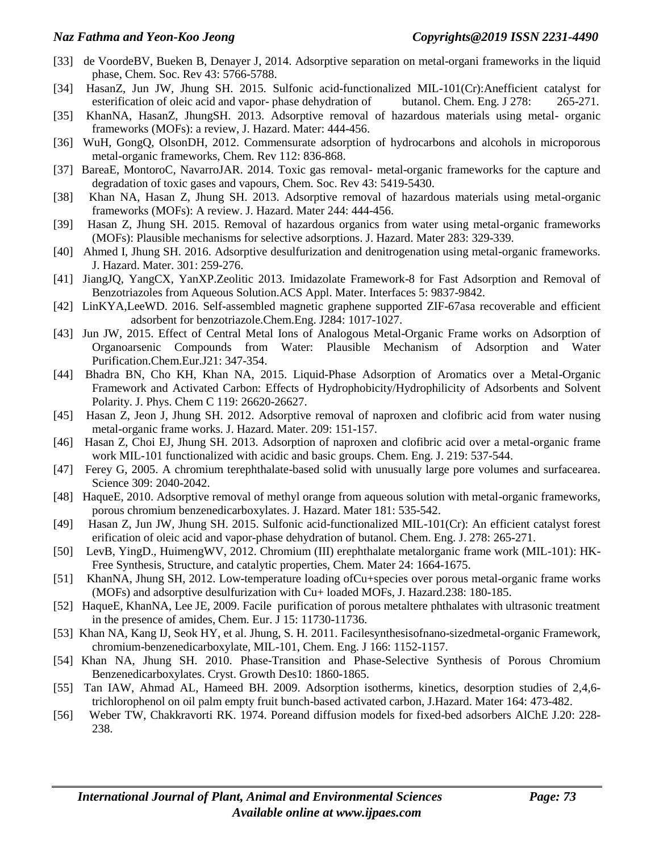- [33] de VoordeBV, Bueken B, Denayer J, 2014. Adsorptive separation on metal-organi frameworks in the liquid phase, Chem. Soc. Rev 43: 5766-5788.
- [34] HasanZ, Jun JW, Jhung SH. 2015. Sulfonic acid-functionalized MIL-101(Cr):Anefficient catalyst for esterification of oleic acid and vapor- phase dehydration of butanol. Chem. Eng. J 278: 265-271.
- [35] KhanNA, HasanZ, JhungSH. 2013. Adsorptive removal of hazardous materials using metal- organic frameworks (MOFs): a review, J. Hazard. Mater: 444-456.
- [36] WuH, GongQ, OlsonDH, 2012. Commensurate adsorption of hydrocarbons and alcohols in microporous metal-organic frameworks, Chem. Rev 112: 836-868.
- [37] BareaE, MontoroC, NavarroJAR. 2014. Toxic gas removal- metal-organic frameworks for the capture and degradation of toxic gases and vapours, Chem. Soc. Rev 43: 5419-5430.
- [38] Khan NA, Hasan Z, Jhung SH. 2013. Adsorptive removal of hazardous materials using metal-organic frameworks (MOFs): A review. J. Hazard. Mater 244: 444-456.
- [39] Hasan Z, Jhung SH. 2015. Removal of hazardous organics from water using metal-organic frameworks (MOFs): Plausible mechanisms for selective adsorptions. J. Hazard. Mater 283: 329-339.
- [40] Ahmed I, Jhung SH. 2016. Adsorptive desulfurization and denitrogenation using metal-organic frameworks. J. Hazard. Mater. 301: 259-276.
- [41] JiangJQ, YangCX, YanXP.Zeolitic 2013. Imidazolate Framework-8 for Fast Adsorption and Removal of Benzotriazoles from Aqueous Solution.ACS Appl. Mater. Interfaces 5: 9837-9842.
- [42] LinKYA,LeeWD. 2016. Self-assembled magnetic graphene supported ZIF-67asa recoverable and efficient adsorbent for benzotriazole.Chem.Eng. J284: 1017-1027.
- [43] Jun JW, 2015. Effect of Central Metal Ions of Analogous Metal-Organic Frame works on Adsorption of Organoarsenic Compounds from Water: Plausible Mechanism of Adsorption and Water Purification.Chem.Eur.J21: 347-354.
- [44] Bhadra BN, Cho KH, Khan NA, 2015. Liquid-Phase Adsorption of Aromatics over a Metal-Organic Framework and Activated Carbon: Effects of Hydrophobicity/Hydrophilicity of Adsorbents and Solvent Polarity. J. Phys. Chem C 119: 26620-26627.
- [45] Hasan Z, Jeon J, Jhung SH. 2012. Adsorptive removal of naproxen and clofibric acid from water nusing metal-organic frame works. J. Hazard. Mater. 209: 151-157.
- [46] Hasan Z, Choi EJ, Jhung SH. 2013. Adsorption of naproxen and clofibric acid over a metal-organic frame work MIL-101 functionalized with acidic and basic groups. Chem. Eng. J. 219: 537-544.
- [47] Ferey G, 2005. A chromium terephthalate-based solid with unusually large pore volumes and surfacearea. Science 309: 2040-2042.
- [48] HaqueE, 2010. Adsorptive removal of methyl orange from aqueous solution with metal-organic frameworks, porous chromium benzenedicarboxylates. J. Hazard. Mater 181: 535-542.
- [49] Hasan Z, Jun JW, Jhung SH. 2015. Sulfonic acid-functionalized MIL-101(Cr): An efficient catalyst forest erification of oleic acid and vapor-phase dehydration of butanol. Chem. Eng. J. 278: 265-271.
- [50] LevB, YingD., HuimengWV, 2012. Chromium (III) erephthalate metalorganic frame work (MIL-101): HK-Free Synthesis, Structure, and catalytic properties, Chem. Mater 24: 1664-1675.
- [51] KhanNA, Jhung SH, 2012. Low-temperature loading ofCu+species over porous metal-organic frame works (MOFs) and adsorptive desulfurization with Cu+ loaded MOFs, J. Hazard.238: 180-185.
- [52] HaqueE, KhanNA, Lee JE, 2009. Facile purification of porous metaltere phthalates with ultrasonic treatment in the presence of amides, Chem. Eur. J 15: 11730-11736.
- [53] Khan NA, Kang IJ, Seok HY, et al. Jhung, S. H. 2011. Facilesynthesisofnano-sizedmetal-organic Framework, chromium-benzenedicarboxylate, MIL-101, Chem. Eng. J 166: 1152-1157.
- [54] Khan NA, Jhung SH. 2010. Phase-Transition and Phase-Selective Synthesis of Porous Chromium Benzenedicarboxylates. Cryst. Growth Des10: 1860-1865.
- [55] Tan IAW, Ahmad AL, Hameed BH. 2009. Adsorption isotherms, kinetics, desorption studies of 2,4,6 trichlorophenol on oil palm empty fruit bunch-based activated carbon, J.Hazard. Mater 164: 473-482.
- [56] Weber TW, Chakkravorti RK. 1974. Poreand diffusion models for fixed-bed adsorbers AlChE J.20: 228- 238.